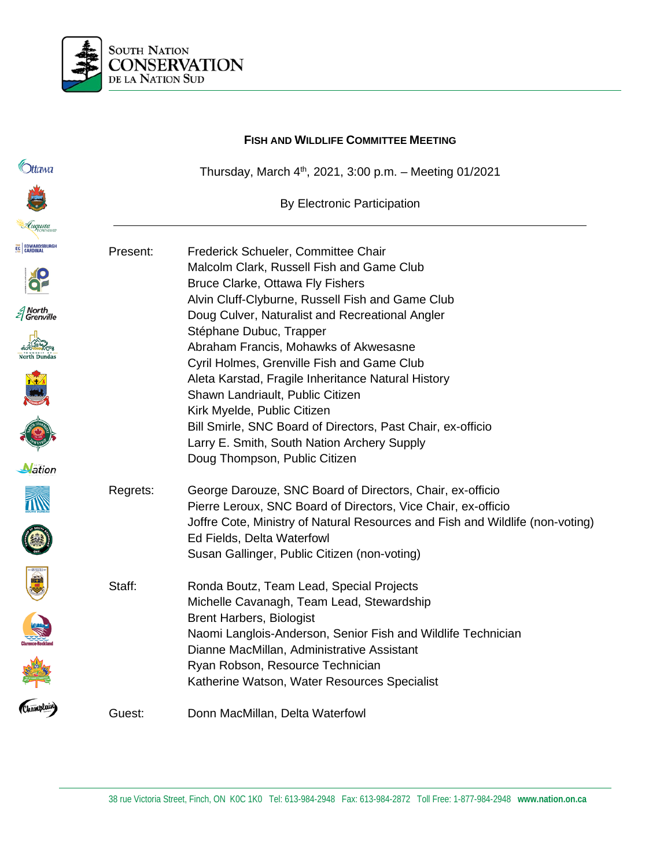

|                                      |          | <b>FISH AND WILDLIFE COMMITTEE MEETING</b>                                                                                                                                                                  |
|--------------------------------------|----------|-------------------------------------------------------------------------------------------------------------------------------------------------------------------------------------------------------------|
| Ottawa                               |          | Thursday, March $4th$ , 2021, 3:00 p.m. - Meeting 01/2021                                                                                                                                                   |
|                                      |          | <b>By Electronic Participation</b>                                                                                                                                                                          |
| Luqusta                              |          |                                                                                                                                                                                                             |
| <b>EC EDWARDSBURGH</b>               | Present: | Frederick Schueler, Committee Chair<br>Malcolm Clark, Russell Fish and Game Club<br>Bruce Clarke, Ottawa Fly Fishers                                                                                        |
| <i>≦</i> North<br><i>≦</i> Grenville |          | Alvin Cluff-Clyburne, Russell Fish and Game Club<br>Doug Culver, Naturalist and Recreational Angler<br>Stéphane Dubuc, Trapper                                                                              |
|                                      |          | Abraham Francis, Mohawks of Akwesasne<br>Cyril Holmes, Grenville Fish and Game Club<br>Aleta Karstad, Fragile Inheritance Natural History                                                                   |
|                                      |          | Shawn Landriault, Public Citizen<br>Kirk Myelde, Public Citizen                                                                                                                                             |
|                                      |          | Bill Smirle, SNC Board of Directors, Past Chair, ex-officio<br>Larry E. Smith, South Nation Archery Supply<br>Doug Thompson, Public Citizen                                                                 |
| Nation                               |          |                                                                                                                                                                                                             |
|                                      | Regrets: | George Darouze, SNC Board of Directors, Chair, ex-officio<br>Pierre Leroux, SNC Board of Directors, Vice Chair, ex-officio<br>Joffre Cote, Ministry of Natural Resources and Fish and Wildlife (non-voting) |
|                                      |          | Ed Fields, Delta Waterfowl<br>Susan Gallinger, Public Citizen (non-voting)                                                                                                                                  |
| <b>DEL</b>                           | Staff:   | Ronda Boutz, Team Lead, Special Projects<br>Michelle Cavanagh, Team Lead, Stewardship                                                                                                                       |
|                                      |          | <b>Brent Harbers, Biologist</b><br>Naomi Langlois-Anderson, Senior Fish and Wildlife Technician<br>Dianne MacMillan, Administrative Assistant                                                               |
| Champlain)                           |          | Ryan Robson, Resource Technician<br>Katherine Watson, Water Resources Specialist                                                                                                                            |
|                                      | Guest:   | Donn MacMillan, Delta Waterfowl                                                                                                                                                                             |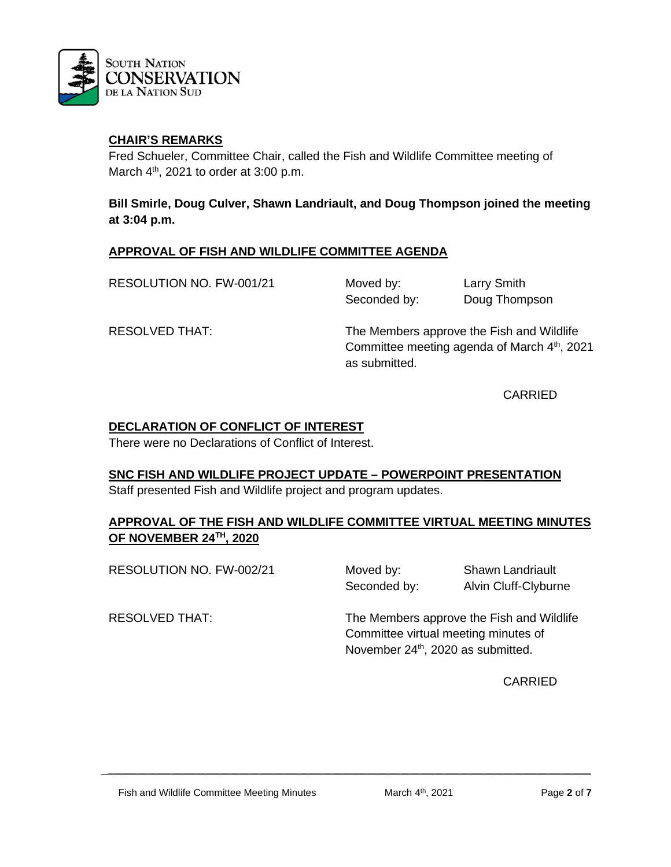

Fred Schueler, Committee Chair, called the Fish and Wildlife Committee meeting of March  $4<sup>th</sup>$ , 2021 to order at 3:00 p.m.

**Bill Smirle, Doug Culver, Shawn Landriault, and Doug Thompson joined the meeting at 3:04 p.m.**

## **APPROVAL OF FISH AND WILDLIFE COMMITTEE AGENDA**

RESOLUTION NO. FW-001/21 Moved by: Larry Smith

Seconded by: Doug Thompson

RESOLVED THAT: The Members approve the Fish and Wildlife Committee meeting agenda of March 4<sup>th</sup>, 2021 as submitted.

CARRIED

## **DECLARATION OF CONFLICT OF INTEREST**

There were no Declarations of Conflict of Interest.

#### **SNC FISH AND WILDLIFE PROJECT UPDATE – POWERPOINT PRESENTATION**

Staff presented Fish and Wildlife project and program updates.

## **APPROVAL OF THE FISH AND WILDLIFE COMMITTEE VIRTUAL MEETING MINUTES OF NOVEMBER 24TH, 2020**

 $\mathcal{L} = \{ \mathcal{L} = \{ \mathcal{L} = \{ \mathcal{L} = \mathcal{L} \} \mid \mathcal{L} = \{ \mathcal{L} = \{ \mathcal{L} = \mathcal{L} \} \mid \mathcal{L} = \{ \mathcal{L} = \{ \mathcal{L} = \mathcal{L} = \mathcal{L} = \{ \mathcal{L} = \mathcal{L} = \mathcal{L} = \mathcal{L} = \mathcal{L} = \mathcal{L} \} \}$ 

RESOLUTION NO. FW-002/21 Moved by: Shawn Landriault

Seconded by: Alvin Cluff-Clyburne

RESOLVED THAT: The Members approve the Fish and Wildlife Committee virtual meeting minutes of November 24<sup>th</sup>, 2020 as submitted.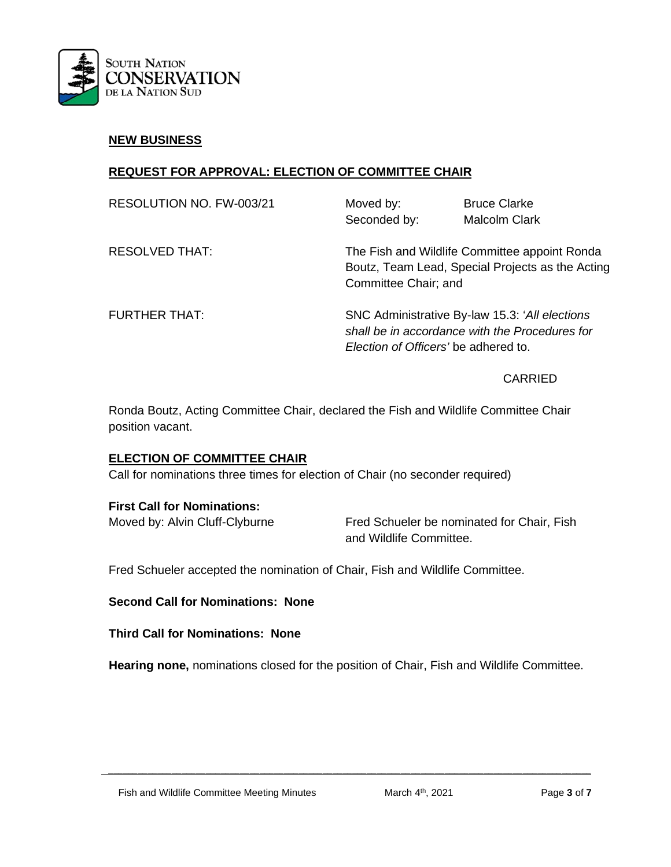

#### **NEW BUSINESS**

## **REQUEST FOR APPROVAL: ELECTION OF COMMITTEE CHAIR**

| RESOLUTION NO. FW-003/21 | Moved by:<br>Seconded by:                                                                                                                 | <b>Bruce Clarke</b><br><b>Malcolm Clark</b>                                                       |
|--------------------------|-------------------------------------------------------------------------------------------------------------------------------------------|---------------------------------------------------------------------------------------------------|
| <b>RESOLVED THAT:</b>    | Committee Chair; and                                                                                                                      | The Fish and Wildlife Committee appoint Ronda<br>Boutz, Team Lead, Special Projects as the Acting |
| <b>FURTHER THAT:</b>     | SNC Administrative By-law 15.3: 'All elections'<br>shall be in accordance with the Procedures for<br>Election of Officers' be adhered to. |                                                                                                   |

## CARRIED

Ronda Boutz, Acting Committee Chair, declared the Fish and Wildlife Committee Chair position vacant.

#### **ELECTION OF COMMITTEE CHAIR**

Call for nominations three times for election of Chair (no seconder required)

#### **First Call for Nominations:**

Moved by: Alvin Cluff-Clyburne Fred Schueler be nominated for Chair, Fish and Wildlife Committee.

Fred Schueler accepted the nomination of Chair, Fish and Wildlife Committee.

#### **Second Call for Nominations: None**

#### **Third Call for Nominations: None**

**Hearing none,** nominations closed for the position of Chair, Fish and Wildlife Committee.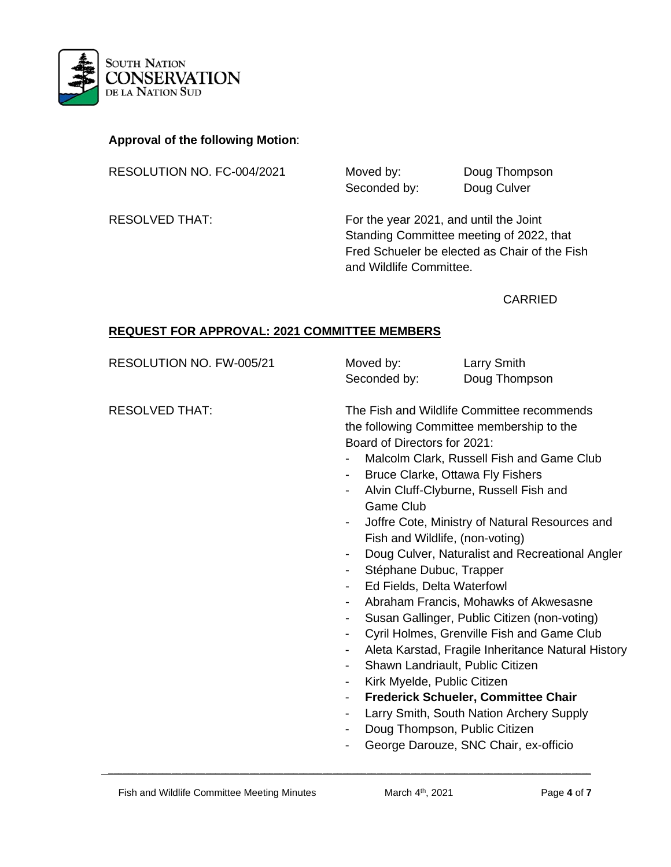

## **Approval of the following Motion**:

RESOLUTION NO. FC-004/2021 Moved by: Doug Thompson

Seconded by: Doug Culver

RESOLVED THAT: For the year 2021, and until the Joint Standing Committee meeting of 2022, that Fred Schueler be elected as Chair of the Fish and Wildlife Committee.

#### CARRIED

## **REQUEST FOR APPROVAL: 2021 COMMITTEE MEMBERS**

RESOLUTION NO. FW-005/21 Moved by: Larry Smith

Seconded by: Doug Thompson

RESOLVED THAT: The Fish and Wildlife Committee recommends the following Committee membership to the Board of Directors for 2021:

- Malcolm Clark, Russell Fish and Game Club
- Bruce Clarke, Ottawa Fly Fishers
- Alvin Cluff-Clyburne, Russell Fish and Game Club
- Joffre Cote, Ministry of Natural Resources and Fish and Wildlife, (non-voting)
- Doug Culver, Naturalist and Recreational Angler
- Stéphane Dubuc, Trapper
- Ed Fields, Delta Waterfowl
- Abraham Francis, Mohawks of Akwesasne
- Susan Gallinger, Public Citizen (non-voting)
- Cyril Holmes, Grenville Fish and Game Club
- Aleta Karstad, Fragile Inheritance Natural History
- Shawn Landriault, Public Citizen
- Kirk Myelde, Public Citizen
- **Frederick Schueler, Committee Chair**
- Larry Smith, South Nation Archery Supply
- Doug Thompson, Public Citizen
- George Darouze, SNC Chair, ex-officio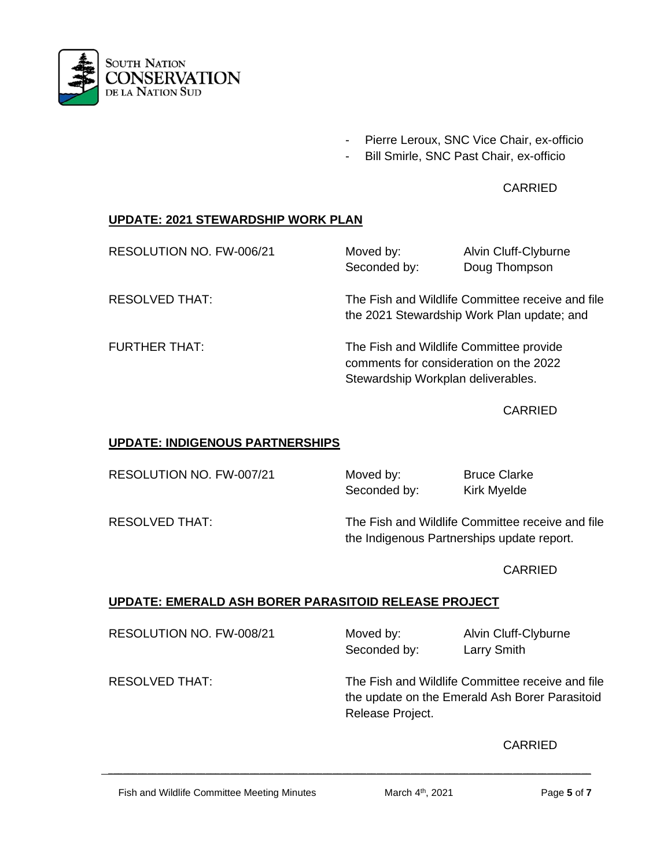

- Pierre Leroux, SNC Vice Chair, ex-officio
- Bill Smirle, SNC Past Chair, ex-officio

# **CARRIED**

# **UPDATE: 2021 STEWARDSHIP WORK PLAN**

| RESOLUTION NO. FW-006/21 | Moved by:                                                                                                               | Alvin Cluff-Clyburne |  |
|--------------------------|-------------------------------------------------------------------------------------------------------------------------|----------------------|--|
|                          | Seconded by:                                                                                                            | Doug Thompson        |  |
| <b>RESOLVED THAT:</b>    | The Fish and Wildlife Committee receive and file<br>the 2021 Stewardship Work Plan update; and                          |                      |  |
| <b>FURTHER THAT:</b>     | The Fish and Wildlife Committee provide<br>comments for consideration on the 2022<br>Stewardship Workplan deliverables. |                      |  |

CARRIED

#### **UPDATE: INDIGENOUS PARTNERSHIPS**

RESOLUTION NO. FW-007/21 Moved by: Bruce Clarke

Seconded by: Kirk Myelde

RESOLVED THAT: The Fish and Wildlife Committee receive and file the Indigenous Partnerships update report.

CARRIED

# **UPDATE: EMERALD ASH BORER PARASITOID RELEASE PROJECT**

RESOLUTION NO. FW-008/21 Moved by: Alvin Cluff-Clyburne

Seconded by: Larry Smith

 $\mathcal{L} = \{ \mathcal{L} = \{ \mathcal{L} = \{ \mathcal{L} = \mathcal{L} \} \mid \mathcal{L} = \{ \mathcal{L} = \{ \mathcal{L} = \mathcal{L} \} \mid \mathcal{L} = \{ \mathcal{L} = \{ \mathcal{L} = \mathcal{L} = \mathcal{L} = \{ \mathcal{L} = \mathcal{L} = \mathcal{L} = \mathcal{L} = \mathcal{L} = \mathcal{L} \} \}$ 

RESOLVED THAT: The Fish and Wildlife Committee receive and file the update on the Emerald Ash Borer Parasitoid Release Project.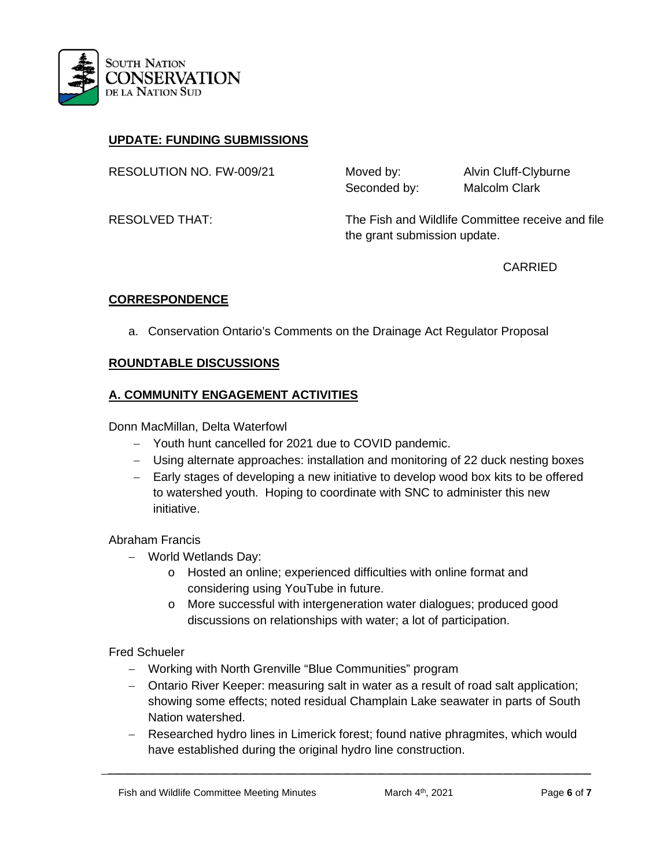

# **UPDATE: FUNDING SUBMISSIONS**

RESOLUTION NO. FW-009/21 Moved by: Alvin Cluff-Clyburne

Seconded by: Malcolm Clark

RESOLVED THAT: The Fish and Wildlife Committee receive and file the grant submission update.

CARRIED

## **CORRESPONDENCE**

a. Conservation Ontario's Comments on the Drainage Act Regulator Proposal

#### **ROUNDTABLE DISCUSSIONS**

## **A. COMMUNITY ENGAGEMENT ACTIVITIES**

Donn MacMillan, Delta Waterfowl

- − Youth hunt cancelled for 2021 due to COVID pandemic.
- − Using alternate approaches: installation and monitoring of 22 duck nesting boxes
- − Early stages of developing a new initiative to develop wood box kits to be offered to watershed youth. Hoping to coordinate with SNC to administer this new initiative.

Abraham Francis

- − World Wetlands Day:
	- o Hosted an online; experienced difficulties with online format and considering using YouTube in future.
	- o More successful with intergeneration water dialogues; produced good discussions on relationships with water; a lot of participation.

#### Fred Schueler

- − Working with North Grenville "Blue Communities" program
- − Ontario River Keeper: measuring salt in water as a result of road salt application; showing some effects; noted residual Champlain Lake seawater in parts of South Nation watershed.
- − Researched hydro lines in Limerick forest; found native phragmites, which would have established during the original hydro line construction.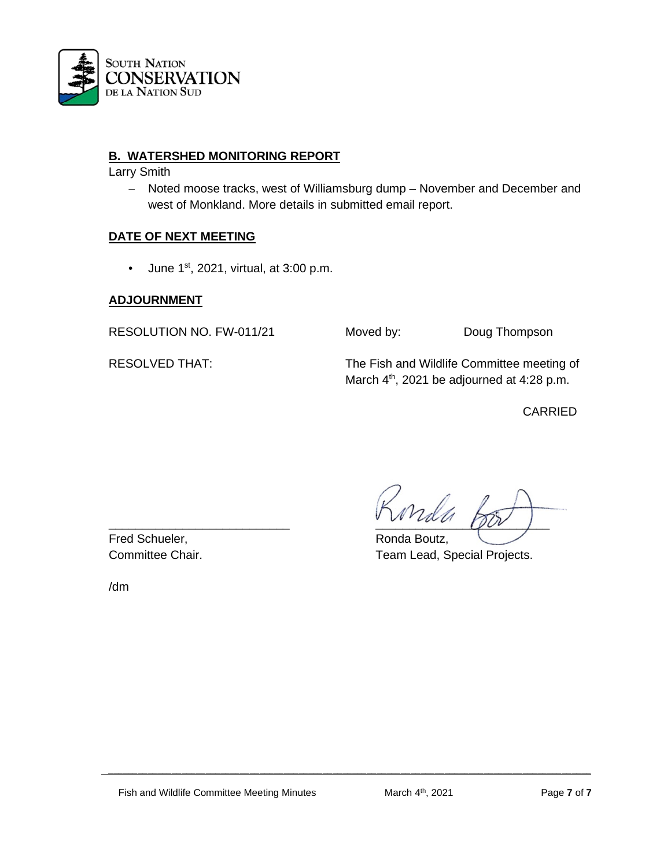

## **B. WATERSHED MONITORING REPORT**

Larry Smith

− Noted moose tracks, west of Williamsburg dump – November and December and west of Monkland. More details in submitted email report.

## **DATE OF NEXT MEETING**

• June  $1<sup>st</sup>$ , 2021, virtual, at 3:00 p.m.

## **ADJOURNMENT**

RESOLUTION NO. FW-011/21 Moved by: Doug Thompson

RESOLVED THAT: The Fish and Wildlife Committee meeting of March 4<sup>th</sup>, 2021 be adjourned at 4:28 p.m.

CARRIED

Fred Schueler, The Contract of the Ronda Boutz,

\_\_\_\_\_\_\_\_\_\_\_\_\_\_\_\_\_\_\_\_\_\_\_\_\_\_\_ \_\_\_\_\_\_\_\_\_\_\_\_\_\_\_\_\_\_\_\_\_\_\_\_\_\_

Committee Chair. Team Lead, Special Projects.

/dm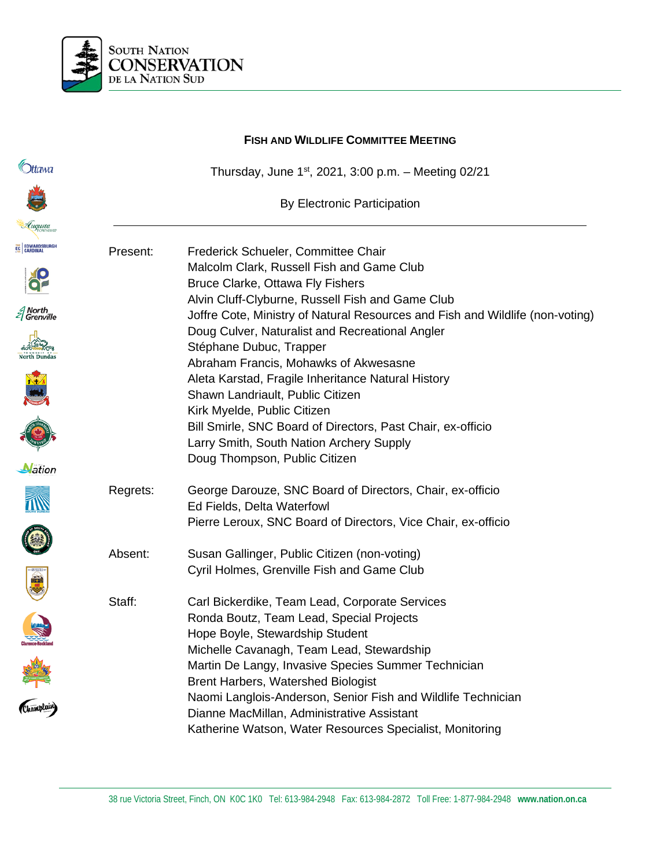

|                      | <b>FISH AND WILDLIFE COMMITTEE MEETING</b> |                                                                                                                                                                        |  |  |
|----------------------|--------------------------------------------|------------------------------------------------------------------------------------------------------------------------------------------------------------------------|--|--|
| Ottawa               |                                            | Thursday, June $1^{st}$ , 2021, 3:00 p.m. - Meeting 02/21                                                                                                              |  |  |
|                      |                                            | <b>By Electronic Participation</b>                                                                                                                                     |  |  |
| Luqusta              |                                            |                                                                                                                                                                        |  |  |
| EC EDWARDSBURGH      | Present:                                   | Frederick Schueler, Committee Chair<br>Malcolm Clark, Russell Fish and Game Club                                                                                       |  |  |
|                      |                                            | Bruce Clarke, Ottawa Fly Fishers<br>Alvin Cluff-Clyburne, Russell Fish and Game Club                                                                                   |  |  |
| North<br>  Grenville |                                            | Joffre Cote, Ministry of Natural Resources and Fish and Wildlife (non-voting)<br>Doug Culver, Naturalist and Recreational Angler                                       |  |  |
|                      |                                            | Stéphane Dubuc, Trapper<br>Abraham Francis, Mohawks of Akwesasne                                                                                                       |  |  |
|                      |                                            | Aleta Karstad, Fragile Inheritance Natural History<br>Shawn Landriault, Public Citizen                                                                                 |  |  |
|                      |                                            | Kirk Myelde, Public Citizen                                                                                                                                            |  |  |
|                      |                                            | Bill Smirle, SNC Board of Directors, Past Chair, ex-officio<br>Larry Smith, South Nation Archery Supply                                                                |  |  |
| <b>Nation</b>        |                                            | Doug Thompson, Public Citizen                                                                                                                                          |  |  |
|                      | Regrets:                                   | George Darouze, SNC Board of Directors, Chair, ex-officio<br>Ed Fields, Delta Waterfowl                                                                                |  |  |
|                      |                                            | Pierre Leroux, SNC Board of Directors, Vice Chair, ex-officio                                                                                                          |  |  |
|                      | Absent:                                    | Susan Gallinger, Public Citizen (non-voting)<br>Cyril Holmes, Grenville Fish and Game Club                                                                             |  |  |
| 震                    | Staff:                                     | Carl Bickerdike, Team Lead, Corporate Services                                                                                                                         |  |  |
|                      |                                            | Ronda Boutz, Team Lead, Special Projects<br>Hope Boyle, Stewardship Student                                                                                            |  |  |
| Champlain            |                                            | Michelle Cavanagh, Team Lead, Stewardship<br>Martin De Langy, Invasive Species Summer Technician<br><b>Brent Harbers, Watershed Biologist</b>                          |  |  |
|                      |                                            | Naomi Langlois-Anderson, Senior Fish and Wildlife Technician<br>Dianne MacMillan, Administrative Assistant<br>Katherine Watson, Water Resources Specialist, Monitoring |  |  |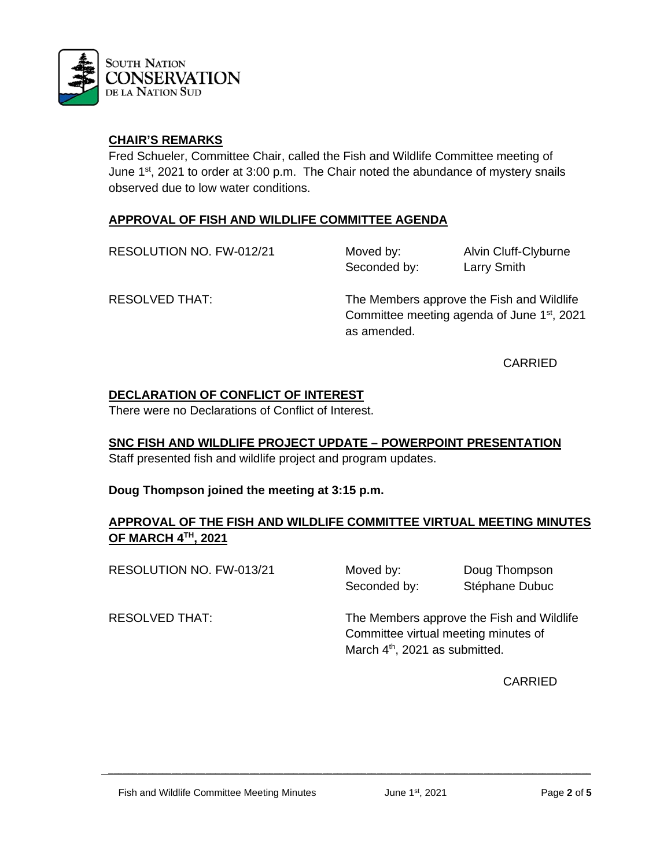

Fred Schueler, Committee Chair, called the Fish and Wildlife Committee meeting of June 1<sup>st</sup>, 2021 to order at 3:00 p.m. The Chair noted the abundance of mystery snails observed due to low water conditions.

#### **APPROVAL OF FISH AND WILDLIFE COMMITTEE AGENDA**

RESOLUTION NO. FW-012/21 Moved by: Alvin Cluff-Clyburne

Seconded by: Larry Smith

RESOLVED THAT: The Members approve the Fish and Wildlife Committee meeting agenda of June 1st, 2021 as amended.

CARRIED

# **DECLARATION OF CONFLICT OF INTEREST**

There were no Declarations of Conflict of Interest.

**SNC FISH AND WILDLIFE PROJECT UPDATE – POWERPOINT PRESENTATION**

Staff presented fish and wildlife project and program updates.

# **Doug Thompson joined the meeting at 3:15 p.m.**

# **APPROVAL OF THE FISH AND WILDLIFE COMMITTEE VIRTUAL MEETING MINUTES OF MARCH 4TH, 2021**

 $\mathcal{L} = \{ \mathcal{L} = \{ \mathcal{L} = \{ \mathcal{L} = \mathcal{L} \} \mid \mathcal{L} = \{ \mathcal{L} = \{ \mathcal{L} = \mathcal{L} \} \mid \mathcal{L} = \{ \mathcal{L} = \{ \mathcal{L} = \mathcal{L} = \mathcal{L} = \{ \mathcal{L} = \mathcal{L} = \mathcal{L} = \mathcal{L} = \mathcal{L} = \mathcal{L} \} \}$ 

RESOLUTION NO. FW-013/21 Moved by: Doug Thompson

Seconded by: Stéphane Dubuc

RESOLVED THAT: The Members approve the Fish and Wildlife Committee virtual meeting minutes of March 4<sup>th</sup>, 2021 as submitted.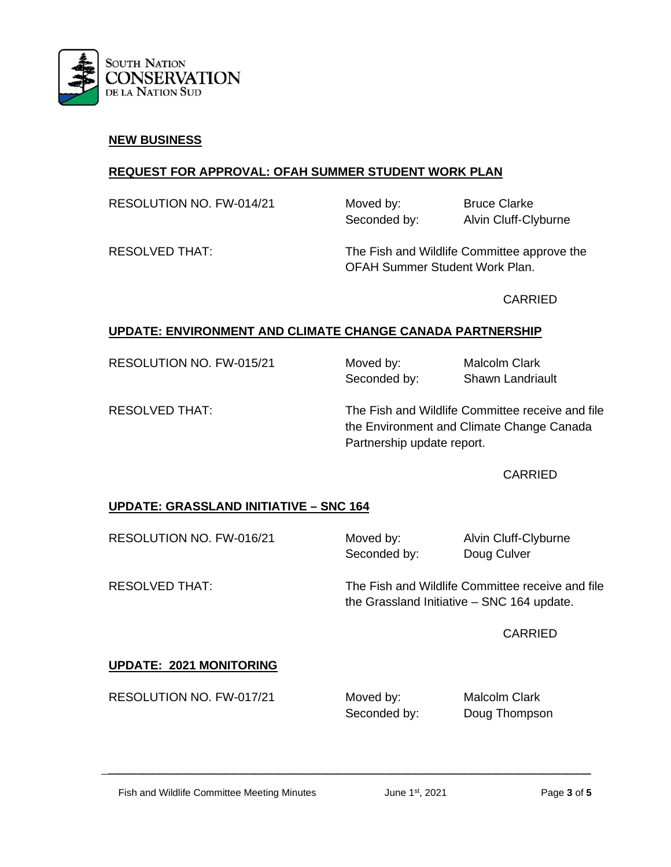

#### **NEW BUSINESS**

## **REQUEST FOR APPROVAL: OFAH SUMMER STUDENT WORK PLAN**

RESOLUTION NO. FW-014/21 Moved by: Bruce Clarke Seconded by: Alvin Cluff-Clyburne

RESOLVED THAT: The Fish and Wildlife Committee approve the OFAH Summer Student Work Plan.

CARRIED

# **UPDATE: ENVIRONMENT AND CLIMATE CHANGE CANADA PARTNERSHIP**

RESOLUTION NO. FW-015/21 Moved by: Malcolm Clark Seconded by: Shawn Landriault

RESOLVED THAT: The Fish and Wildlife Committee receive and file the Environment and Climate Change Canada Partnership update report.

#### CARRIED

# **UPDATE: GRASSLAND INITIATIVE – SNC 164**

RESOLUTION NO. FW-016/21 Moved by: Alvin Cluff-Clyburne

Seconded by: Doug Culver

RESOLVED THAT: The Fish and Wildlife Committee receive and file the Grassland Initiative – SNC 164 update.

CARRIED

# **UPDATE: 2021 MONITORING**

RESOLUTION NO. FW-017/21 Moved by: Malcolm Clark

 $\mathcal{L} = \{ \mathcal{L} = \{ \mathcal{L} = \{ \mathcal{L} = \mathcal{L} \} \mid \mathcal{L} = \{ \mathcal{L} = \{ \mathcal{L} = \mathcal{L} \} \mid \mathcal{L} = \{ \mathcal{L} = \{ \mathcal{L} = \mathcal{L} = \mathcal{L} = \{ \mathcal{L} = \mathcal{L} = \mathcal{L} = \mathcal{L} = \mathcal{L} = \mathcal{L} \} \}$ 

Seconded by: Doug Thompson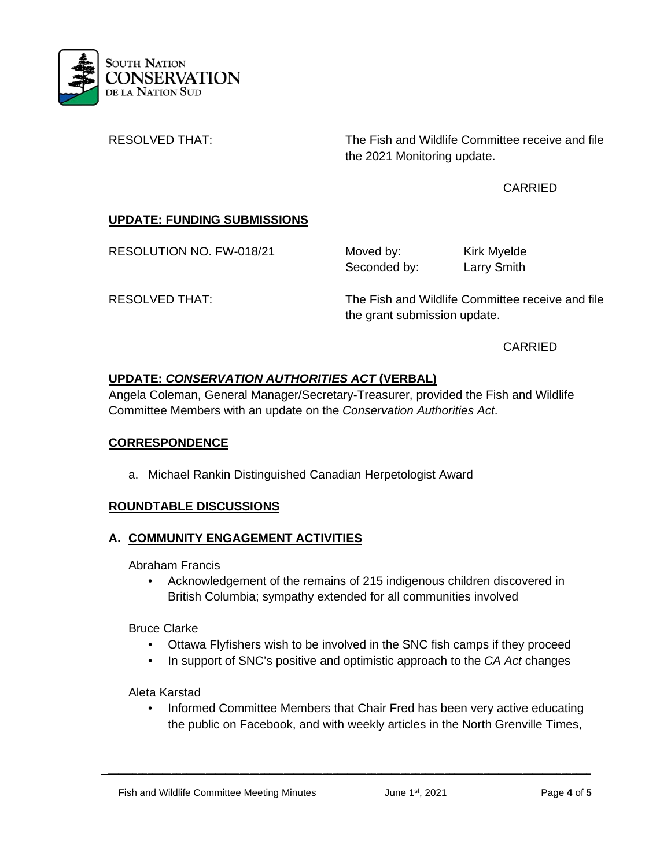

RESOLVED THAT: The Fish and Wildlife Committee receive and file the 2021 Monitoring update.

# CARRIED

# **UPDATE: FUNDING SUBMISSIONS**

RESOLUTION NO. FW-018/21 Moved by: Kirk Myelde

Seconded by: Larry Smith

RESOLVED THAT: The Fish and Wildlife Committee receive and file the grant submission update.

CARRIED

# **UPDATE:** *CONSERVATION AUTHORITIES ACT* **(VERBAL)**

Angela Coleman, General Manager/Secretary-Treasurer, provided the Fish and Wildlife Committee Members with an update on the *Conservation Authorities Act*.

# **CORRESPONDENCE**

a. Michael Rankin Distinguished Canadian Herpetologist Award

# **ROUNDTABLE DISCUSSIONS**

# **A. COMMUNITY ENGAGEMENT ACTIVITIES**

Abraham Francis

• Acknowledgement of the remains of 215 indigenous children discovered in British Columbia; sympathy extended for all communities involved

Bruce Clarke

- Ottawa Flyfishers wish to be involved in the SNC fish camps if they proceed
- In support of SNC's positive and optimistic approach to the *CA Act* changes

Aleta Karstad

• Informed Committee Members that Chair Fred has been very active educating the public on Facebook, and with weekly articles in the North Grenville Times,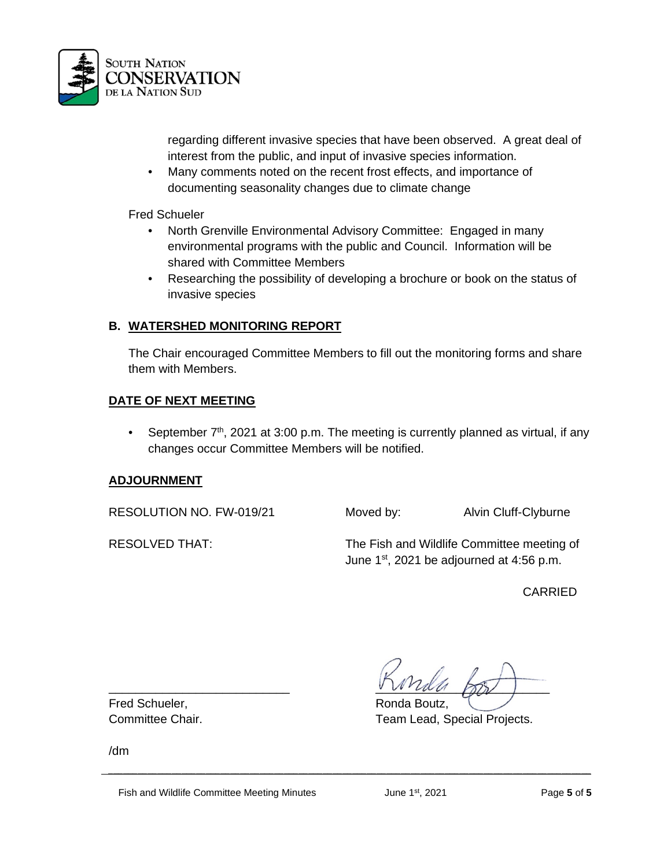

regarding different invasive species that have been observed. A great deal of interest from the public, and input of invasive species information.

• Many comments noted on the recent frost effects, and importance of documenting seasonality changes due to climate change

Fred Schueler

- North Grenville Environmental Advisory Committee: Engaged in many environmental programs with the public and Council. Information will be shared with Committee Members
- Researching the possibility of developing a brochure or book on the status of invasive species

## **B. WATERSHED MONITORING REPORT**

The Chair encouraged Committee Members to fill out the monitoring forms and share them with Members.

#### **DATE OF NEXT MEETING**

• September  $7<sup>th</sup>$ , 2021 at 3:00 p.m. The meeting is currently planned as virtual, if any changes occur Committee Members will be notified.

#### **ADJOURNMENT**

RESOLUTION NO. FW-019/21 Moved by: Alvin Cluff-Clyburne

RESOLVED THAT: The Fish and Wildlife Committee meeting of June  $1<sup>st</sup>$ , 2021 be adjourned at 4:56 p.m.

CARRIED

Fred Schueler, The Contract of the Ronda Boutz,

 $\frac{1}{2}$ 

Committee Chair. Team Lead, Special Projects.

/dm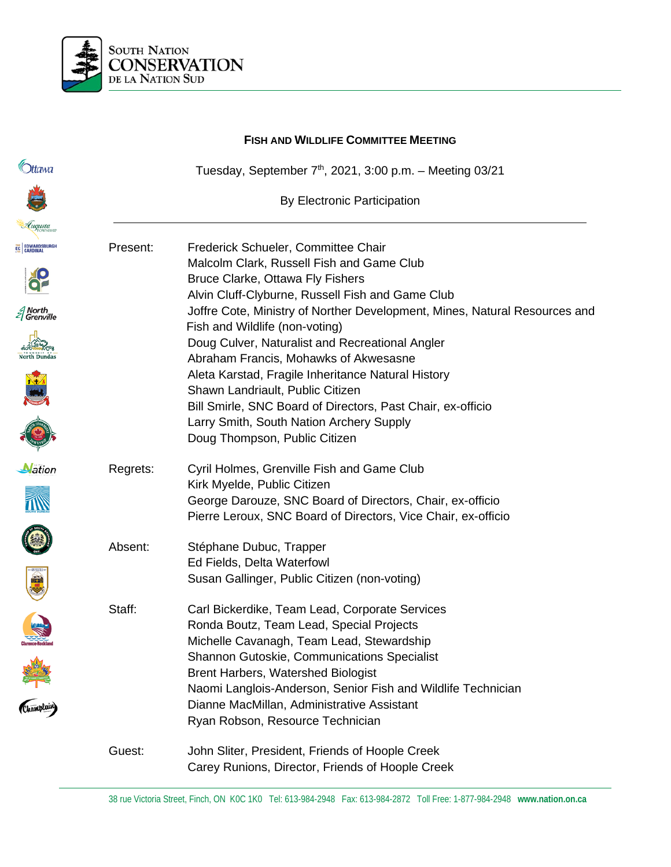

|                                      |          | <b>FISH AND WILDLIFE COMMITTEE MEETING</b>                                                                 |  |  |
|--------------------------------------|----------|------------------------------------------------------------------------------------------------------------|--|--|
| <b>D</b> ttawa                       |          | Tuesday, September $7th$ , 2021, 3:00 p.m. - Meeting 03/21                                                 |  |  |
|                                      |          | <b>By Electronic Participation</b>                                                                         |  |  |
| Luqusta                              |          |                                                                                                            |  |  |
| EC EDWARDSBURGH                      | Present: | Frederick Schueler, Committee Chair                                                                        |  |  |
|                                      |          | Malcolm Clark, Russell Fish and Game Club                                                                  |  |  |
|                                      |          | Bruce Clarke, Ottawa Fly Fishers<br>Alvin Cluff-Clyburne, Russell Fish and Game Club                       |  |  |
| <i>≦</i> North<br><i>≦</i> Grenville |          | Joffre Cote, Ministry of Norther Development, Mines, Natural Resources and                                 |  |  |
|                                      |          | Fish and Wildlife (non-voting)                                                                             |  |  |
|                                      |          | Doug Culver, Naturalist and Recreational Angler                                                            |  |  |
|                                      |          | Abraham Francis, Mohawks of Akwesasne                                                                      |  |  |
|                                      |          | Aleta Karstad, Fragile Inheritance Natural History<br>Shawn Landriault, Public Citizen                     |  |  |
|                                      |          | Bill Smirle, SNC Board of Directors, Past Chair, ex-officio                                                |  |  |
|                                      |          | Larry Smith, South Nation Archery Supply                                                                   |  |  |
|                                      |          | Doug Thompson, Public Citizen                                                                              |  |  |
| <b>N</b> ation                       | Regrets: | Cyril Holmes, Grenville Fish and Game Club                                                                 |  |  |
|                                      |          | Kirk Myelde, Public Citizen                                                                                |  |  |
|                                      |          | George Darouze, SNC Board of Directors, Chair, ex-officio                                                  |  |  |
|                                      |          | Pierre Leroux, SNC Board of Directors, Vice Chair, ex-officio                                              |  |  |
|                                      | Absent:  | Stéphane Dubuc, Trapper                                                                                    |  |  |
|                                      |          | Ed Fields, Delta Waterfowl                                                                                 |  |  |
| 鳳                                    |          | Susan Gallinger, Public Citizen (non-voting)                                                               |  |  |
|                                      | Staff:   | Carl Bickerdike, Team Lead, Corporate Services                                                             |  |  |
|                                      |          | Ronda Boutz, Team Lead, Special Projects                                                                   |  |  |
|                                      |          | Michelle Cavanagh, Team Lead, Stewardship                                                                  |  |  |
|                                      |          | Shannon Gutoskie, Communications Specialist                                                                |  |  |
|                                      |          | <b>Brent Harbers, Watershed Biologist</b>                                                                  |  |  |
|                                      |          | Naomi Langlois-Anderson, Senior Fish and Wildlife Technician<br>Dianne MacMillan, Administrative Assistant |  |  |
|                                      |          | Ryan Robson, Resource Technician                                                                           |  |  |
|                                      | Guest:   | John Sliter, President, Friends of Hoople Creek                                                            |  |  |
|                                      |          | Carey Runions, Director, Friends of Hoople Creek                                                           |  |  |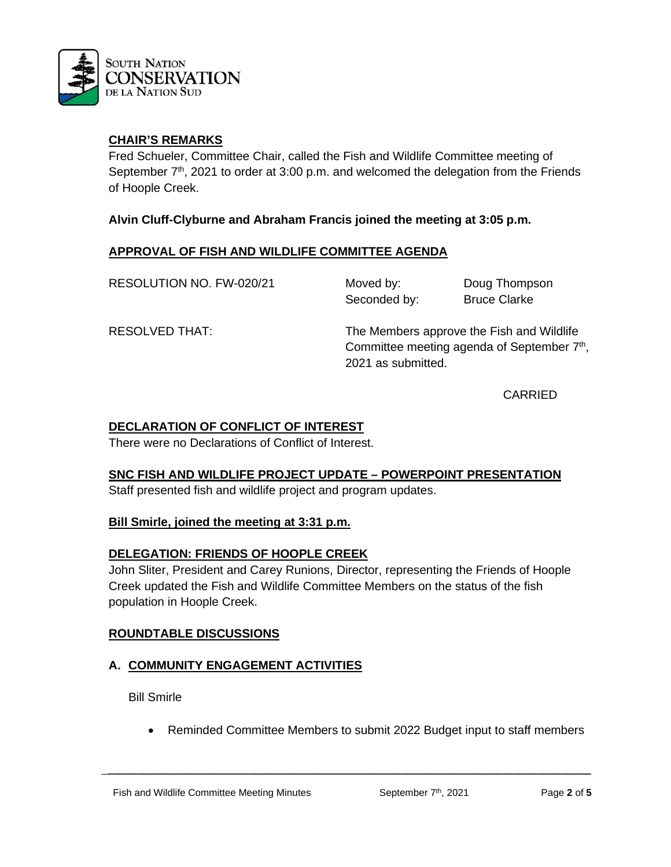

Fred Schueler, Committee Chair, called the Fish and Wildlife Committee meeting of September  $7<sup>th</sup>$ , 2021 to order at 3:00 p.m. and welcomed the delegation from the Friends of Hoople Creek.

**Alvin Cluff-Clyburne and Abraham Francis joined the meeting at 3:05 p.m.**

## **APPROVAL OF FISH AND WILDLIFE COMMITTEE AGENDA**

RESOLUTION NO. FW-020/21 Moved by: Doug Thompson

Seconded by: Bruce Clarke

RESOLVED THAT: The Members approve the Fish and Wildlife Committee meeting agenda of September  $7<sup>th</sup>$ , 2021 as submitted.

CARRIED

## **DECLARATION OF CONFLICT OF INTEREST**

There were no Declarations of Conflict of Interest.

#### **SNC FISH AND WILDLIFE PROJECT UPDATE – POWERPOINT PRESENTATION**

Staff presented fish and wildlife project and program updates.

#### **Bill Smirle, joined the meeting at 3:31 p.m.**

# **DELEGATION: FRIENDS OF HOOPLE CREEK**

John Sliter, President and Carey Runions, Director, representing the Friends of Hoople Creek updated the Fish and Wildlife Committee Members on the status of the fish population in Hoople Creek.

#### **ROUNDTABLE DISCUSSIONS**

# **A. COMMUNITY ENGAGEMENT ACTIVITIES**

Bill Smirle

• Reminded Committee Members to submit 2022 Budget input to staff members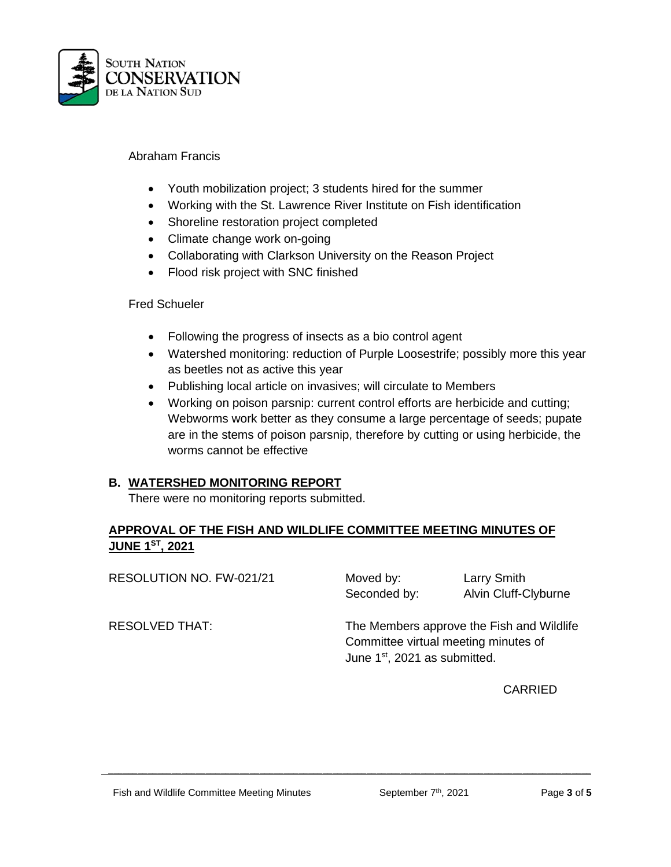

#### Abraham Francis

- Youth mobilization project; 3 students hired for the summer
- Working with the St. Lawrence River Institute on Fish identification
- Shoreline restoration project completed
- Climate change work on-going
- Collaborating with Clarkson University on the Reason Project
- Flood risk project with SNC finished

#### Fred Schueler

- Following the progress of insects as a bio control agent
- Watershed monitoring: reduction of Purple Loosestrife; possibly more this year as beetles not as active this year
- Publishing local article on invasives; will circulate to Members
- Working on poison parsnip: current control efforts are herbicide and cutting; Webworms work better as they consume a large percentage of seeds; pupate are in the stems of poison parsnip, therefore by cutting or using herbicide, the worms cannot be effective

# **B. WATERSHED MONITORING REPORT**

There were no monitoring reports submitted.

# **APPROVAL OF THE FISH AND WILDLIFE COMMITTEE MEETING MINUTES OF JUNE 1ST, 2021**

| RESOLUTION NO. FW-021/21 | Moved by:<br>Seconded by:                                                                                                      | <b>Larry Smith</b><br>Alvin Cluff-Clyburne |  |
|--------------------------|--------------------------------------------------------------------------------------------------------------------------------|--------------------------------------------|--|
| <b>RESOLVED THAT:</b>    | The Members approve the Fish and Wildlife<br>Committee virtual meeting minutes of<br>June 1 <sup>st</sup> , 2021 as submitted. |                                            |  |

 $\mathcal{L} = \{ \mathcal{L} = \{ \mathcal{L} = \{ \mathcal{L} = \mathcal{L} \} \mid \mathcal{L} = \{ \mathcal{L} = \{ \mathcal{L} = \mathcal{L} \} \mid \mathcal{L} = \{ \mathcal{L} = \{ \mathcal{L} = \mathcal{L} = \mathcal{L} = \{ \mathcal{L} = \mathcal{L} = \mathcal{L} = \mathcal{L} = \mathcal{L} = \mathcal{L} \} \}$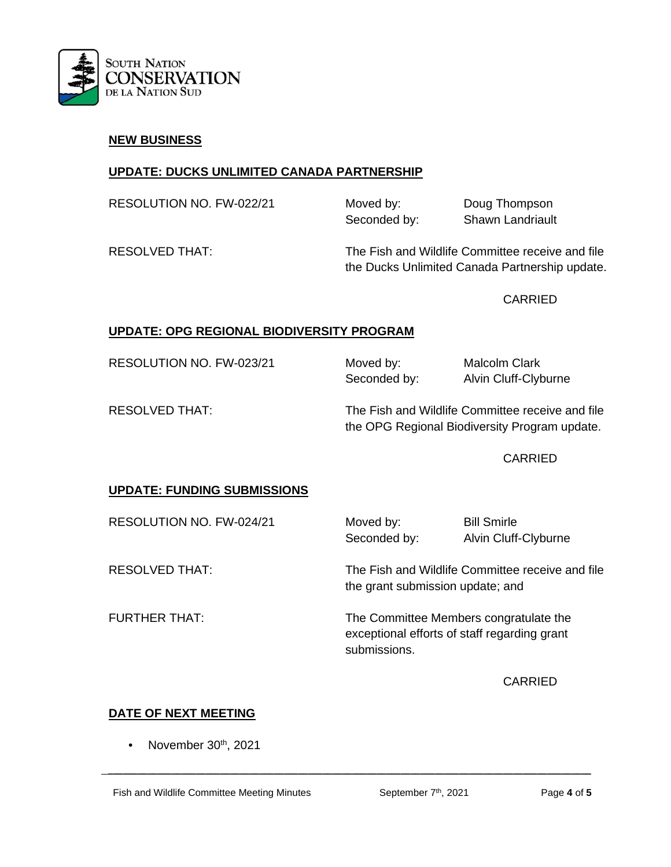

#### **NEW BUSINESS**

## **UPDATE: DUCKS UNLIMITED CANADA PARTNERSHIP**

RESOLUTION NO. FW-022/21 Moved by: Doug Thompson Seconded by: Shawn Landriault

RESOLVED THAT: The Fish and Wildlife Committee receive and file the Ducks Unlimited Canada Partnership update.

CARRIED

# **UPDATE: OPG REGIONAL BIODIVERSITY PROGRAM**

RESOLUTION NO. FW-023/21 Moved by: Malcolm Clark

Seconded by: Alvin Cluff-Clyburne

RESOLVED THAT: The Fish and Wildlife Committee receive and file the OPG Regional Biodiversity Program update.

CARRIED

# **UPDATE: FUNDING SUBMISSIONS**

RESOLUTION NO. FW-024/21 Moved by: Bill Smirle Seconded by: Alvin Cluff-Clyburne

RESOLVED THAT: The Fish and Wildlife Committee receive and file the grant submission update; and

FURTHER THAT: The Committee Members congratulate the exceptional efforts of staff regarding grant submissions.

**CARRIED** 

# **DATE OF NEXT MEETING**

November 30<sup>th</sup>, 2021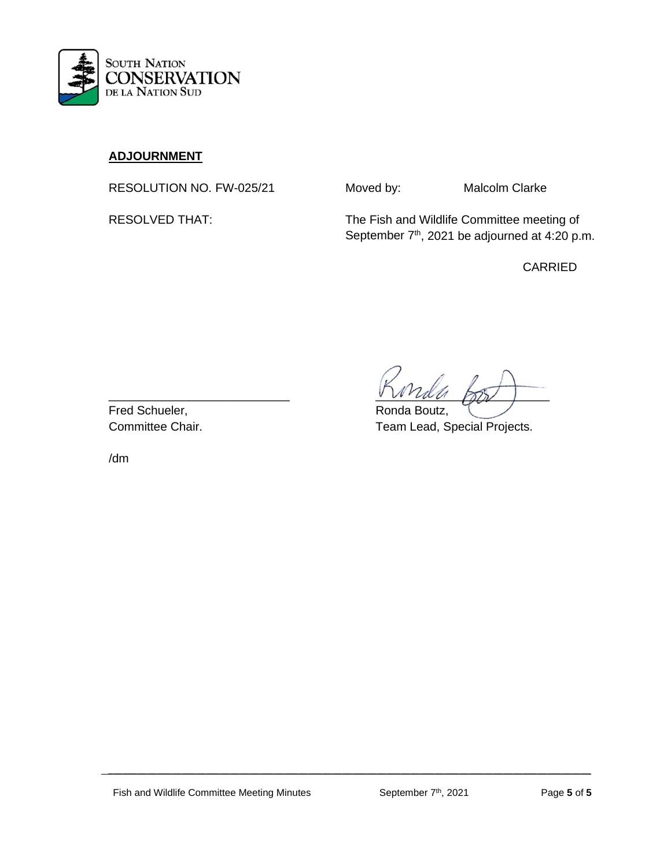

# **ADJOURNMENT**

RESOLUTION NO. FW-025/21 Moved by: Malcolm Clarke

RESOLVED THAT: The Fish and Wildlife Committee meeting of September 7<sup>th</sup>, 2021 be adjourned at 4:20 p.m.

CARRIED

 $\mathsf{V}\mathsf{V}\mathsf{V}\mathsf{U}\mathsf{U}\mathsf{U}\mathsf{P}\mathsf{Y}$ 

Committee Chair. Team Lead, Special Projects.

Fred Schueler, The Contract of the Ronda Boutz,

/dm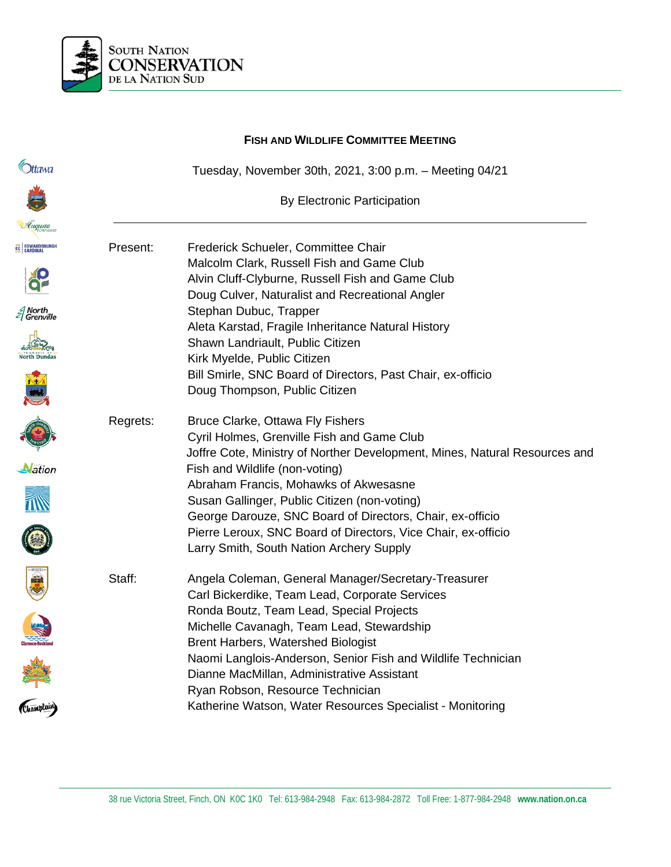

|                        | <b>FISH AND WILDLIFE COMMITTEE MEETING</b> |                                                                                              |  |
|------------------------|--------------------------------------------|----------------------------------------------------------------------------------------------|--|
| <b>Ottawa</b>          |                                            | Tuesday, November 30th, 2021, 3:00 p.m. - Meeting 04/21                                      |  |
|                        |                                            | By Electronic Participation                                                                  |  |
| Lugusta                |                                            |                                                                                              |  |
| <b>EC EDWARDSBURGH</b> | Present:                                   | Frederick Schueler, Committee Chair                                                          |  |
|                        |                                            | Malcolm Clark, Russell Fish and Game Club                                                    |  |
|                        |                                            | Alvin Cluff-Clyburne, Russell Fish and Game Club                                             |  |
|                        |                                            | Doug Culver, Naturalist and Recreational Angler                                              |  |
| North<br>  Grenville   |                                            | Stephan Dubuc, Trapper                                                                       |  |
|                        |                                            | Aleta Karstad, Fragile Inheritance Natural History                                           |  |
| <b>North Dundas</b>    |                                            | Shawn Landriault, Public Citizen                                                             |  |
|                        |                                            | Kirk Myelde, Public Citizen                                                                  |  |
|                        |                                            | Bill Smirle, SNC Board of Directors, Past Chair, ex-officio<br>Doug Thompson, Public Citizen |  |
|                        |                                            |                                                                                              |  |
|                        | Regrets:                                   | Bruce Clarke, Ottawa Fly Fishers                                                             |  |
|                        |                                            | Cyril Holmes, Grenville Fish and Game Club                                                   |  |
|                        |                                            | Joffre Cote, Ministry of Norther Development, Mines, Natural Resources and                   |  |
| <b>N</b> ation         |                                            | Fish and Wildlife (non-voting)                                                               |  |
|                        |                                            | Abraham Francis, Mohawks of Akwesasne                                                        |  |
|                        |                                            | Susan Gallinger, Public Citizen (non-voting)                                                 |  |
|                        |                                            | George Darouze, SNC Board of Directors, Chair, ex-officio                                    |  |
|                        |                                            | Pierre Leroux, SNC Board of Directors, Vice Chair, ex-officio                                |  |
|                        |                                            | Larry Smith, South Nation Archery Supply                                                     |  |
| <b>WAR</b>             | Staff:                                     | Angela Coleman, General Manager/Secretary-Treasurer                                          |  |
|                        |                                            | Carl Bickerdike, Team Lead, Corporate Services                                               |  |
|                        |                                            | Ronda Boutz, Team Lead, Special Projects                                                     |  |
|                        |                                            | Michelle Cavanagh, Team Lead, Stewardship                                                    |  |
|                        |                                            | <b>Brent Harbers, Watershed Biologist</b>                                                    |  |
|                        |                                            | Naomi Langlois-Anderson, Senior Fish and Wildlife Technician                                 |  |
|                        |                                            | Dianne MacMillan, Administrative Assistant                                                   |  |
| Champlain)             |                                            | Ryan Robson, Resource Technician                                                             |  |
|                        |                                            | Katherine Watson, Water Resources Specialist - Monitoring                                    |  |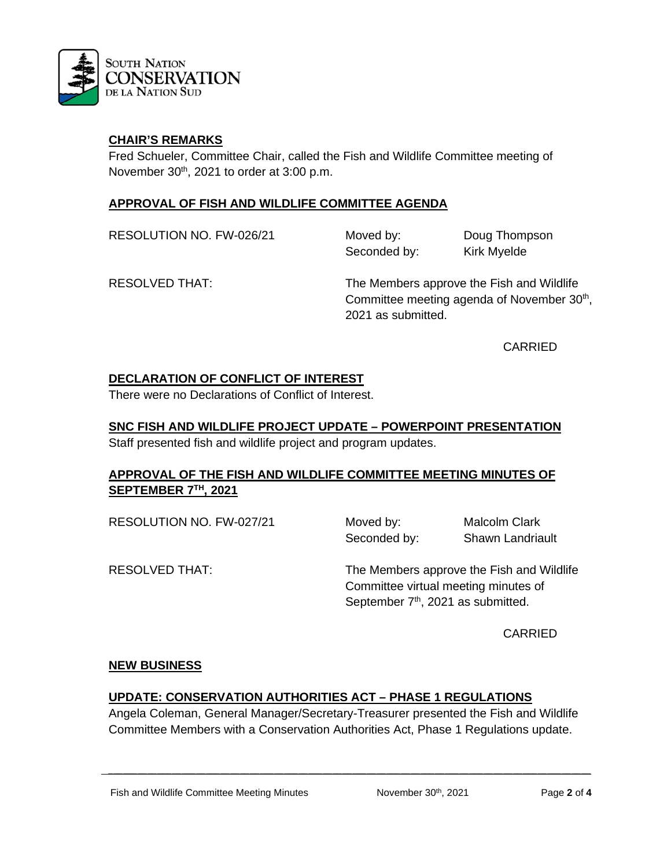

Fred Schueler, Committee Chair, called the Fish and Wildlife Committee meeting of November 30<sup>th</sup>, 2021 to order at 3:00 p.m.

## **APPROVAL OF FISH AND WILDLIFE COMMITTEE AGENDA**

RESOLUTION NO. FW-026/21 Moved by: Doug Thompson

Seconded by: Kirk Myelde

RESOLVED THAT: The Members approve the Fish and Wildlife Committee meeting agenda of November 30<sup>th</sup>, 2021 as submitted.

CARRIED

# **DECLARATION OF CONFLICT OF INTEREST**

There were no Declarations of Conflict of Interest.

#### **SNC FISH AND WILDLIFE PROJECT UPDATE – POWERPOINT PRESENTATION** Staff presented fish and wildlife project and program updates.

# **APPROVAL OF THE FISH AND WILDLIFE COMMITTEE MEETING MINUTES OF SEPTEMBER 7TH, 2021**

RESOLUTION NO. FW-027/21 Moved by: Malcolm Clark

Seconded by: Shawn Landriault

RESOLVED THAT: The Members approve the Fish and Wildlife Committee virtual meeting minutes of September 7<sup>th</sup>, 2021 as submitted.

CARRIED

#### **NEW BUSINESS**

# **UPDATE: CONSERVATION AUTHORITIES ACT – PHASE 1 REGULATIONS**

Angela Coleman, General Manager/Secretary-Treasurer presented the Fish and Wildlife Committee Members with a Conservation Authorities Act, Phase 1 Regulations update.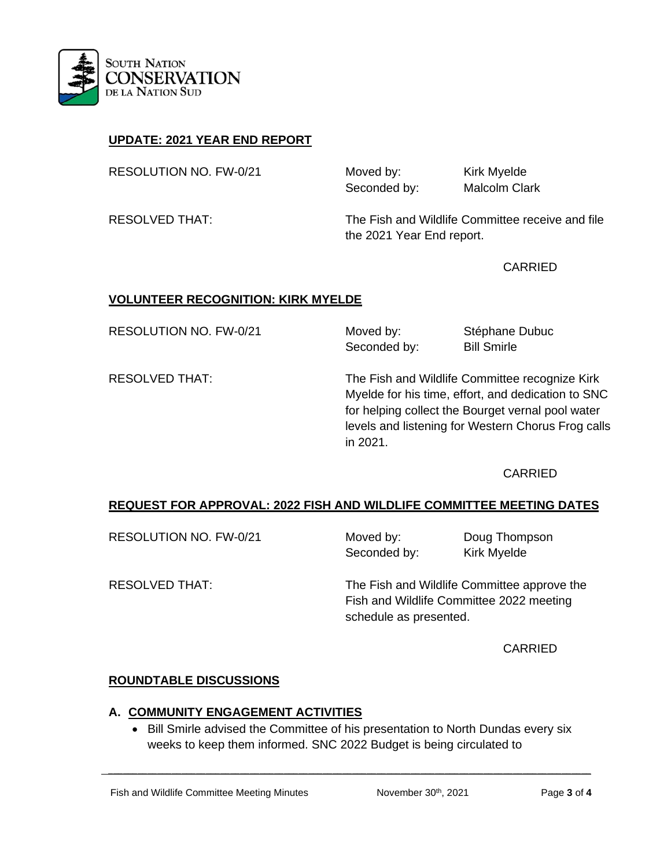

# **UPDATE: 2021 YEAR END REPORT**

RESOLUTION NO. FW-0/21 Moved by: Kirk Myelde

Seconded by: Malcolm Clark

RESOLVED THAT: The Fish and Wildlife Committee receive and file the 2021 Year End report.

CARRIED

#### **VOLUNTEER RECOGNITION: KIRK MYELDE**

RESOLUTION NO. FW-0/21 Moved by: Stéphane Dubuc Seconded by: Bill Smirle

RESOLVED THAT: The Fish and Wildlife Committee recognize Kirk Myelde for his time, effort, and dedication to SNC for helping collect the Bourget vernal pool water levels and listening for Western Chorus Frog calls in 2021.

#### CARRIED

#### **REQUEST FOR APPROVAL: 2022 FISH AND WILDLIFE COMMITTEE MEETING DATES**

| RESOLUTION NO. FW-0/21 | Moved by:<br>Seconded by: | Doug Thompson<br><b>Kirk Myelde</b>                                                     |  |
|------------------------|---------------------------|-----------------------------------------------------------------------------------------|--|
| <b>RESOLVED THAT:</b>  |                           | The Fish and Wildlife Committee approve the<br>Fish and Wildlife Committee 2022 meeting |  |
|                        | schedule as presented.    |                                                                                         |  |

CARRIED

#### **ROUNDTABLE DISCUSSIONS**

#### **A. COMMUNITY ENGAGEMENT ACTIVITIES**

• Bill Smirle advised the Committee of his presentation to North Dundas every six weeks to keep them informed. SNC 2022 Budget is being circulated to